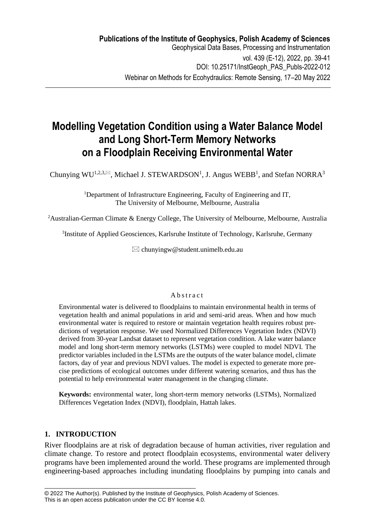# **Modelling Vegetation Condition using a Water Balance Model and Long Short-Term Memory Networks on a Floodplain Receiving Environmental Water**

Chunying WU<sup>1,2,3, $\boxtimes$ , Michael J. STEWARDSON<sup>1</sup>, J. Angus WEBB<sup>1</sup>, and Stefan NORRA<sup>3</sup></sup>

<sup>1</sup>Department of Infrastructure Engineering, Faculty of Engineering and IT, The University of Melbourne, Melbourne, Australia

<sup>2</sup>Australian-German Climate & Energy College, The University of Melbourne, Melbourne, Australia

<sup>3</sup>Institute of Applied Geosciences, Karlsruhe Institute of Technology, Karlsruhe, Germany

 $\boxtimes$  chunvingw@student.unimelb.edu.au

## A b s t r a c t

Environmental water is delivered to floodplains to maintain environmental health in terms of vegetation health and animal populations in arid and semi-arid areas. When and how much environmental water is required to restore or maintain vegetation health requires robust predictions of vegetation response. We used Normalized Differences Vegetation Index (NDVI) derived from 30-year Landsat dataset to represent vegetation condition. A lake water balance model and long short-term memory networks (LSTMs) were coupled to model NDVI. The predictor variables included in the LSTMs are the outputs of the water balance model, climate factors, day of year and previous NDVI values. The model is expected to generate more precise predictions of ecological outcomes under different watering scenarios, and thus has the potential to help environmental water management in the changing climate.

**Keywords:** environmental water, long short-term memory networks (LSTMs), Normalized Differences Vegetation Index (NDVI), floodplain, Hattah lakes.

# **1. INTRODUCTION**

River floodplains are at risk of degradation because of human activities, river regulation and climate change. To restore and protect floodplain ecosystems, environmental water delivery programs have been implemented around the world. These programs are implemented through engineering-based approaches including inundating floodplains by pumping into canals and

\_\_\_\_\_\_\_\_\_\_\_\_\_\_\_\_\_\_\_\_\_\_\_\_\_\_\_\_\_\_\_\_\_\_\_\_\_\_\_\_\_\_\_\_\_\_\_\_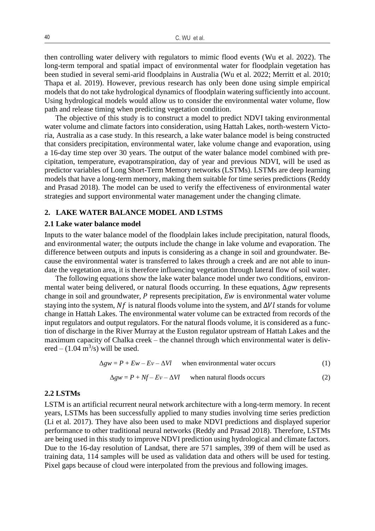then controlling water delivery with regulators to mimic flood events (Wu et al. 2022). The long-term temporal and spatial impact of environmental water for floodplain vegetation has been studied in several semi-arid floodplains in Australia (Wu et al. 2022; Merritt et al. 2010; Thapa et al. 2019). However, previous research has only been done using simple empirical models that do not take hydrological dynamics of floodplain watering sufficiently into account. Using hydrological models would allow us to consider the environmental water volume, flow path and release timing when predicting vegetation condition.

The objective of this study is to construct a model to predict NDVI taking environmental water volume and climate factors into consideration, using Hattah Lakes, north-western Victoria, Australia as a case study. In this research, a lake water balance model is being constructed that considers precipitation, environmental water, lake volume change and evaporation, using a 16-day time step over 30 years. The output of the water balance model combined with precipitation, temperature, evapotranspiration, day of year and previous NDVI, will be used as predictor variables of Long Short-Term Memory networks (LSTMs). LSTMs are deep learning models that have a long-term memory, making them suitable for time series predictions (Reddy and Prasad 2018). The model can be used to verify the effectiveness of environmental water strategies and support environmental water management under the changing climate.

### **2. LAKE WATER BALANCE MODEL AND LSTMS**

#### **2.1 Lake water balance model**

Inputs to the water balance model of the floodplain lakes include precipitation, natural floods, and environmental water; the outputs include the change in lake volume and evaporation. The difference between outputs and inputs is considering as a change in soil and groundwater. Because the environmental water is transferred to lakes through a creek and are not able to inundate the vegetation area, it is therefore influencing vegetation through lateral flow of soil water.

The following equations show the lake water balance model under two conditions, environmental water being delivered, or natural floods occurring. In these equations,  $\Delta g w$  represents change in soil and groundwater,  $P$  represents precipitation,  $Ew$  is environmental water volume staying into the system,  $Nf$  is natural floods volume into the system, and  $\Delta Vl$  stands for volume change in Hattah Lakes. The environmental water volume can be extracted from records of the input regulators and output regulators. For the natural floods volume, it is considered as a function of discharge in the River Murray at the Euston regulator upstream of Hattah Lakes and the maximum capacity of Chalka creek – the channel through which environmental water is delivered  $- (1.04 \text{ m}^3/\text{s})$  will be used.

$$
\Delta gw = P + Ew - Ev - \Delta Vl \quad \text{when environmental water occurs} \tag{1}
$$

$$
\Delta gw = P + Nf - Ev - \Delta VI \quad \text{when natural floods occurs} \tag{2}
$$

## **2.2 LSTMs**

LSTM is an artificial recurrent neural network architecture with a long-term memory. In recent years, LSTMs has been successfully applied to many studies involving time series prediction (Li et al. 2017). They have also been used to make NDVI predictions and displayed superior performance to other traditional neural networks (Reddy and Prasad 2018). Therefore, LSTMs are being used in this study to improve NDVI prediction using hydrological and climate factors. Due to the 16-day resolution of Landsat, there are 571 samples, 399 of them will be used as training data, 114 samples will be used as validation data and others will be used for testing. Pixel gaps because of cloud were interpolated from the previous and following images.